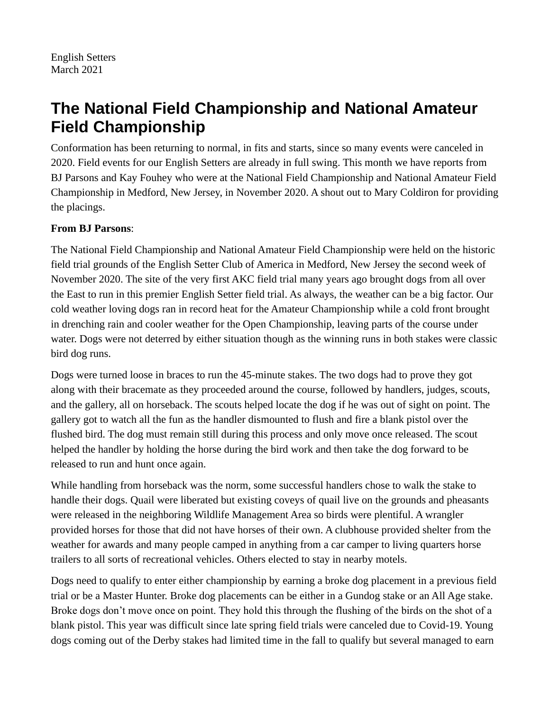# **The National Field Championship and National Amateur Field Championship**

Conformation has been returning to normal, in fits and starts, since so many events were canceled in 2020. Field events for our English Setters are already in full swing. This month we have reports from BJ Parsons and Kay Fouhey who were at the National Field Championship and National Amateur Field Championship in Medford, New Jersey, in November 2020. A shout out to Mary Coldiron for providing the placings.

## **From BJ Parsons**:

The National Field Championship and National Amateur Field Championship were held on the historic field trial grounds of the English Setter Club of America in Medford, New Jersey the second week of November 2020. The site of the very first AKC field trial many years ago brought dogs from all over the East to run in this premier English Setter field trial. As always, the weather can be a big factor. Our cold weather loving dogs ran in record heat for the Amateur Championship while a cold front brought in drenching rain and cooler weather for the Open Championship, leaving parts of the course under water. Dogs were not deterred by either situation though as the winning runs in both stakes were classic bird dog runs.

Dogs were turned loose in braces to run the 45-minute stakes. The two dogs had to prove they got along with their bracemate as they proceeded around the course, followed by handlers, judges, scouts, and the gallery, all on horseback. The scouts helped locate the dog if he was out of sight on point. The gallery got to watch all the fun as the handler dismounted to flush and fire a blank pistol over the flushed bird. The dog must remain still during this process and only move once released. The scout helped the handler by holding the horse during the bird work and then take the dog forward to be released to run and hunt once again.

While handling from horseback was the norm, some successful handlers chose to walk the stake to handle their dogs. Quail were liberated but existing coveys of quail live on the grounds and pheasants were released in the neighboring Wildlife Management Area so birds were plentiful. A wrangler provided horses for those that did not have horses of their own. A clubhouse provided shelter from the weather for awards and many people camped in anything from a car camper to living quarters horse trailers to all sorts of recreational vehicles. Others elected to stay in nearby motels.

Dogs need to qualify to enter either championship by earning a broke dog placement in a previous field trial or be a Master Hunter. Broke dog placements can be either in a Gundog stake or an All Age stake. Broke dogs don't move once on point. They hold this through the flushing of the birds on the shot of a blank pistol. This year was difficult since late spring field trials were canceled due to Covid-19. Young dogs coming out of the Derby stakes had limited time in the fall to qualify but several managed to earn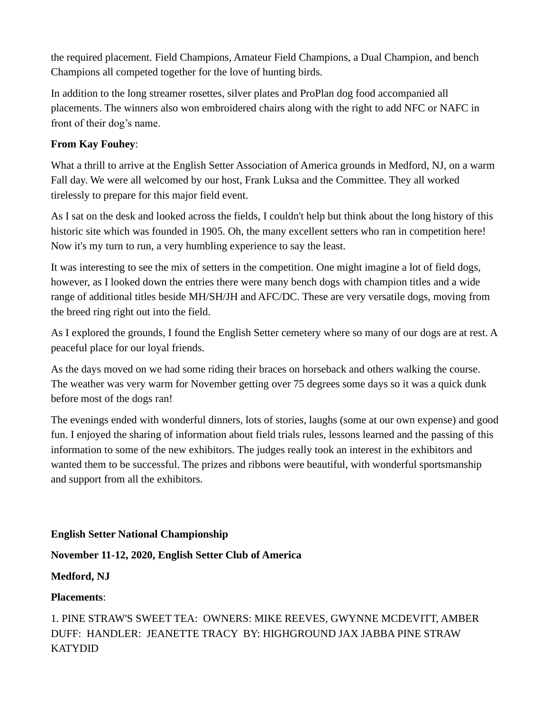the required placement. Field Champions, Amateur Field Champions, a Dual Champion, and bench Champions all competed together for the love of hunting birds.

In addition to the long streamer rosettes, silver plates and ProPlan dog food accompanied all placements. The winners also won embroidered chairs along with the right to add NFC or NAFC in front of their dog's name.

#### **From Kay Fouhey**:

What a thrill to arrive at the English Setter Association of America grounds in Medford, NJ, on a warm Fall day. We were all welcomed by our host, Frank Luksa and the Committee. They all worked tirelessly to prepare for this major field event.

As I sat on the desk and looked across the fields, I couldn't help but think about the long history of this historic site which was founded in 1905. Oh, the many excellent setters who ran in competition here! Now it's my turn to run, a very humbling experience to say the least.

It was interesting to see the mix of setters in the competition. One might imagine a lot of field dogs, however, as I looked down the entries there were many bench dogs with champion titles and a wide range of additional titles beside MH/SH/JH and AFC/DC. These are very versatile dogs, moving from the breed ring right out into the field.

As I explored the grounds, I found the English Setter cemetery where so many of our dogs are at rest. A peaceful place for our loyal friends.

As the days moved on we had some riding their braces on horseback and others walking the course. The weather was very warm for November getting over 75 degrees some days so it was a quick dunk before most of the dogs ran!

The evenings ended with wonderful dinners, lots of stories, laughs (some at our own expense) and good fun. I enjoyed the sharing of information about field trials rules, lessons learned and the passing of this information to some of the new exhibitors. The judges really took an interest in the exhibitors and wanted them to be successful. The prizes and ribbons were beautiful, with wonderful sportsmanship and support from all the exhibitors.

#### **English Setter National Championship**

**November 11-12, 2020, English Setter Club of America**

## **Medford, NJ**

## **Placements**:

1. PINE STRAW'S SWEET TEA: OWNERS: MIKE REEVES, GWYNNE MCDEVITT, AMBER DUFF: HANDLER: JEANETTE TRACY BY: HIGHGROUND JAX JABBA PINE STRAW KATYDID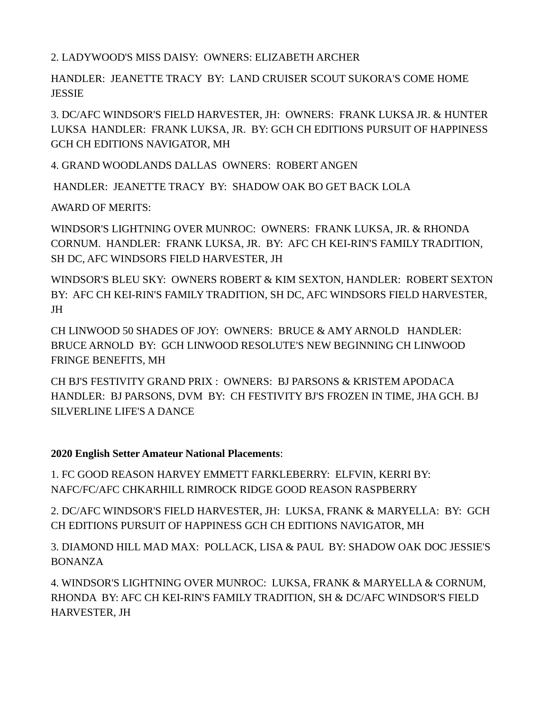2. LADYWOOD'S MISS DAISY: OWNERS: ELIZABETH ARCHER

HANDLER: JEANETTE TRACY BY: LAND CRUISER SCOUT SUKORA'S COME HOME JESSIE

3. DC/AFC WINDSOR'S FIELD HARVESTER, JH: OWNERS: FRANK LUKSA JR. & HUNTER LUKSA HANDLER: FRANK LUKSA, JR. BY: GCH CH EDITIONS PURSUIT OF HAPPINESS GCH CH EDITIONS NAVIGATOR, MH

4. GRAND WOODLANDS DALLAS OWNERS: ROBERT ANGEN

HANDLER: JEANETTE TRACY BY: SHADOW OAK BO GET BACK LOLA

AWARD OF MERITS:

WINDSOR'S LIGHTNING OVER MUNROC: OWNERS: FRANK LUKSA, JR. & RHONDA CORNUM. HANDLER: FRANK LUKSA, JR. BY: AFC CH KEI-RIN'S FAMILY TRADITION, SH DC, AFC WINDSORS FIELD HARVESTER, JH

WINDSOR'S BLEU SKY: OWNERS ROBERT & KIM SEXTON, HANDLER: ROBERT SEXTON BY: AFC CH KEI-RIN'S FAMILY TRADITION, SH DC, AFC WINDSORS FIELD HARVESTER, JH

CH LINWOOD 50 SHADES OF JOY: OWNERS: BRUCE & AMY ARNOLD HANDLER: BRUCE ARNOLD BY: GCH LINWOOD RESOLUTE'S NEW BEGINNING CH LINWOOD FRINGE BENEFITS, MH

CH BJ'S FESTIVITY GRAND PRIX : OWNERS: BJ PARSONS & KRISTEM APODACA HANDLER: BJ PARSONS, DVM BY: CH FESTIVITY BJ'S FROZEN IN TIME, JHA GCH. BJ SILVERLINE LIFE'S A DANCE

## **2020 English Setter Amateur National Placements**:

1. FC GOOD REASON HARVEY EMMETT FARKLEBERRY: ELFVIN, KERRI BY: NAFC/FC/AFC CHKARHILL RIMROCK RIDGE GOOD REASON RASPBERRY

2. DC/AFC WINDSOR'S FIELD HARVESTER, JH: LUKSA, FRANK & MARYELLA: BY: GCH CH EDITIONS PURSUIT OF HAPPINESS GCH CH EDITIONS NAVIGATOR, MH

3. DIAMOND HILL MAD MAX: POLLACK, LISA & PAUL BY: SHADOW OAK DOC JESSIE'S BONANZA

4. WINDSOR'S LIGHTNING OVER MUNROC: LUKSA, FRANK & MARYELLA & CORNUM, RHONDA BY: AFC CH KEI-RIN'S FAMILY TRADITION, SH & DC/AFC WINDSOR'S FIELD HARVESTER, JH